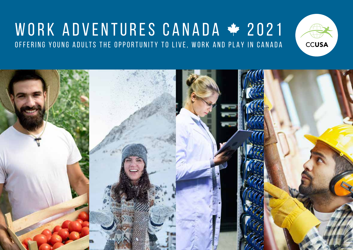## WORK ADVENTURES CANADA \* 2021 OFFERING YOUNG ADULTS THE OPPORTUNITY TO LIVE, WORK AND PLAY IN CANADA



**CCUSA**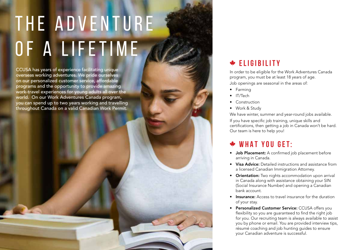# THE ADVENTURE OF A LIFETIME

CCUSA has years of experience facilitating unique overseas working adventures. We pride ourselves on our personalized customer service, affordable programs and the opportunity to provide amazing work-travel experiences for young adults all over the world. On our Work Adventures Canada program, you can spend up to two years working and travelling throughout Canada on a valid Canadian Work Permit.

#### **ELIGIBILITY**

In order to be eligible for the Work Adventures Canada program, you must be at least 18 years of age. Job openings are seasonal in the areas of:

- Farming IT/Tech
- 
- Construction
- Work & Study

We have winter, summer and year-round jobs available.

If you have specific job training, unique skills and certifications, then getting a job in Canada won't be hard. Our team is here to help you!

#### **WHAT YOU GET:**

- Job Placement: A confirmed job placement before arriving in Canada.
- Visa Advice: Detailed instructions and assistance from a licensed Canadian Immigration Attorney.
- Orientation: Two nights accommodation upon arrival in Canada along with assistance obtaining your SIN (Social Insurance Number) and opening a Canadian bank account.
- Insurance: Access to travel insurance for the duration of your stay.
- Personalized Customer Service: CCUSA offers you flexibility so you are quaranteed to find the right job for you. Our recruiting team is always available to assist you by phone or email. You are provided interview tips, résumé coaching and job hunting guides to ensure your Canadian adventure is successful.